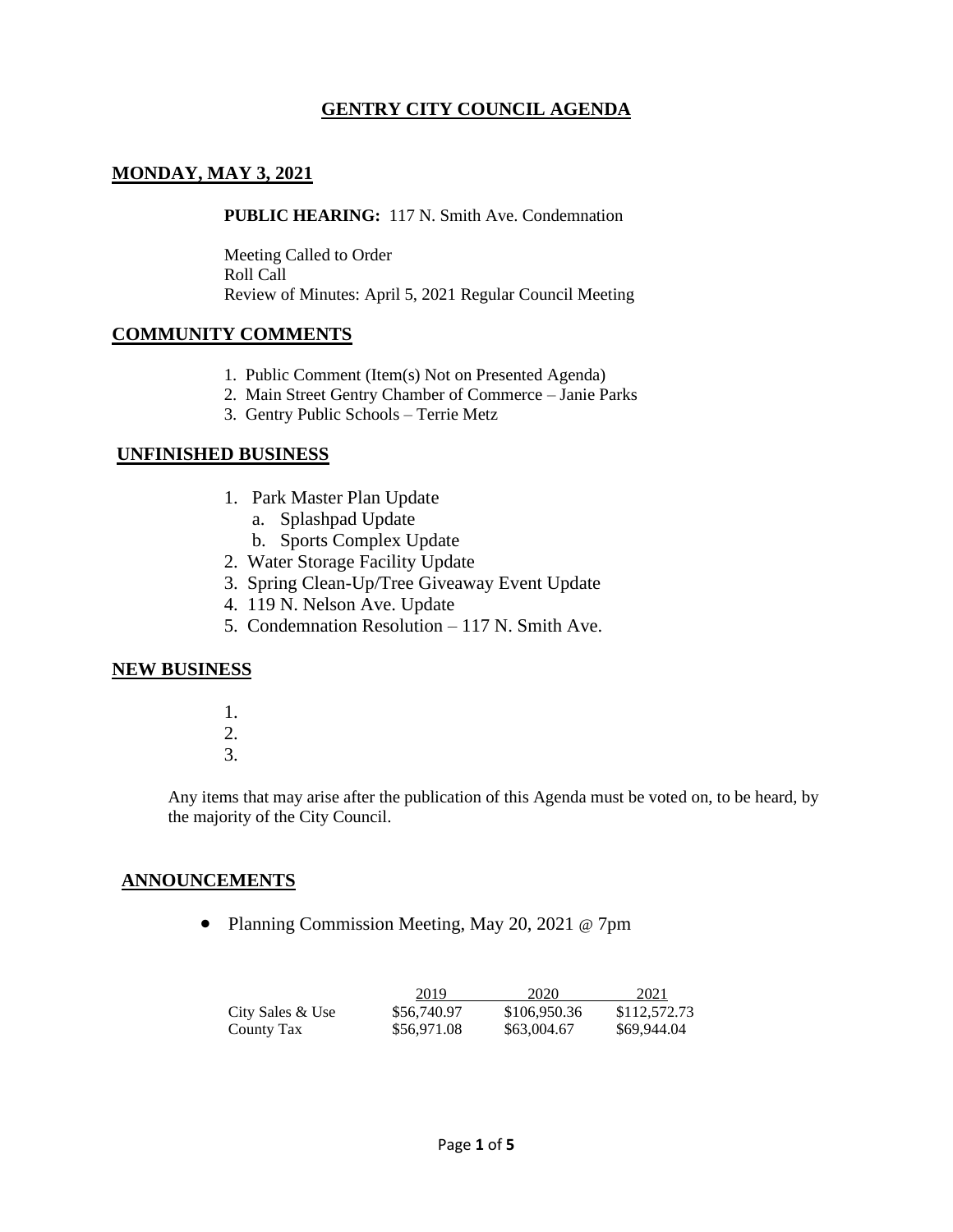# **GENTRY CITY COUNCIL AGENDA**

### **MONDAY, MAY 3, 2021**

**PUBLIC HEARING:** 117 N. Smith Ave. Condemnation

Meeting Called to Order Roll Call Review of Minutes: April 5, 2021 Regular Council Meeting

#### **COMMUNITY COMMENTS**

- 1. Public Comment (Item(s) Not on Presented Agenda)
- 2. Main Street Gentry Chamber of Commerce Janie Parks
- 3. Gentry Public Schools Terrie Metz

#### **UNFINISHED BUSINESS**

- 1. Park Master Plan Update
	- a. Splashpad Update
	- b. Sports Complex Update
- 2. Water Storage Facility Update
- 3. Spring Clean-Up/Tree Giveaway Event Update
- 4. 119 N. Nelson Ave. Update
- 5. Condemnation Resolution 117 N. Smith Ave.

#### **NEW BUSINESS**

- 1.
- 2. 3.

Any items that may arise after the publication of this Agenda must be voted on, to be heard, by the majority of the City Council.

#### **ANNOUNCEMENTS**

• Planning Commission Meeting, May 20, 2021 @ 7pm

|                  | 2019        | 2020         | 2021         |
|------------------|-------------|--------------|--------------|
| City Sales & Use | \$56,740.97 | \$106,950.36 | \$112,572.73 |
| County Tax       | \$56,971.08 | \$63,004.67  | \$69,944.04  |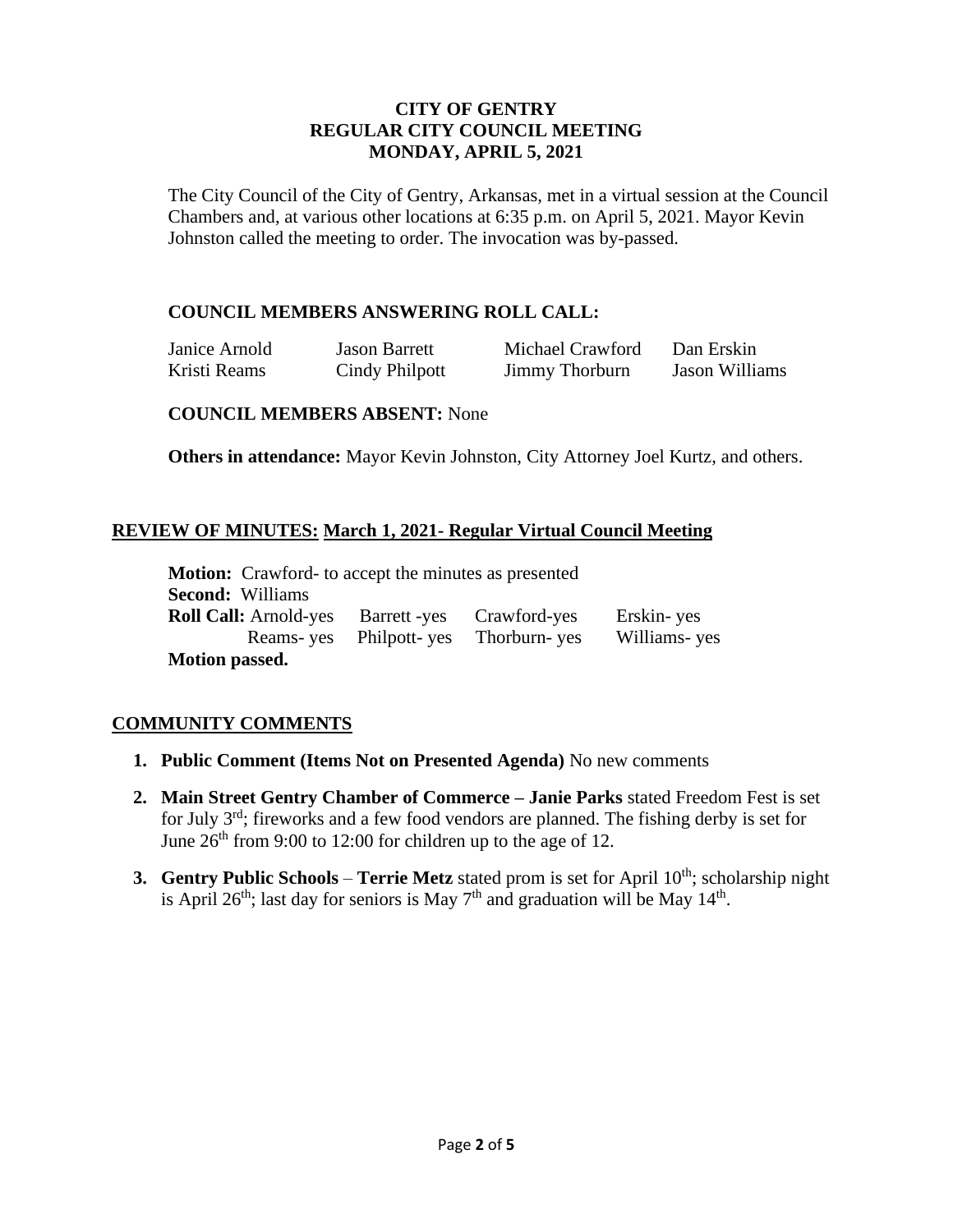### **CITY OF GENTRY REGULAR CITY COUNCIL MEETING MONDAY, APRIL 5, 2021**

The City Council of the City of Gentry, Arkansas, met in a virtual session at the Council Chambers and, at various other locations at 6:35 p.m. on April 5, 2021. Mayor Kevin Johnston called the meeting to order. The invocation was by-passed.

# **COUNCIL MEMBERS ANSWERING ROLL CALL:**

Janice Arnold Jason Barrett Michael Crawford Dan Erskin

Kristi Reams Cindy Philpott Jimmy Thorburn Jason Williams

#### **COUNCIL MEMBERS ABSENT:** None

**Others in attendance:** Mayor Kevin Johnston, City Attorney Joel Kurtz, and others.

# **REVIEW OF MINUTES: March 1, 2021- Regular Virtual Council Meeting**

**Motion:** Crawford- to accept the minutes as presented **Second:** Williams **Roll Call:** Arnold-yes Barrett -yes Crawford-yes Erskin- yes Reams- yes Philpott- yes Thorburn- yes Williams- yes **Motion passed.**

# **COMMUNITY COMMENTS**

- **1. Public Comment (Items Not on Presented Agenda)** No new comments
- **2. Main Street Gentry Chamber of Commerce – Janie Parks** stated Freedom Fest is set for July 3rd; fireworks and a few food vendors are planned. The fishing derby is set for June  $26<sup>th</sup>$  from 9:00 to 12:00 for children up to the age of 12.
- **3. Gentry Public Schools Terrie Metz** stated prom is set for April 10<sup>th</sup>; scholarship night is April 26<sup>th</sup>; last day for seniors is May  $7<sup>th</sup>$  and graduation will be May  $14<sup>th</sup>$ .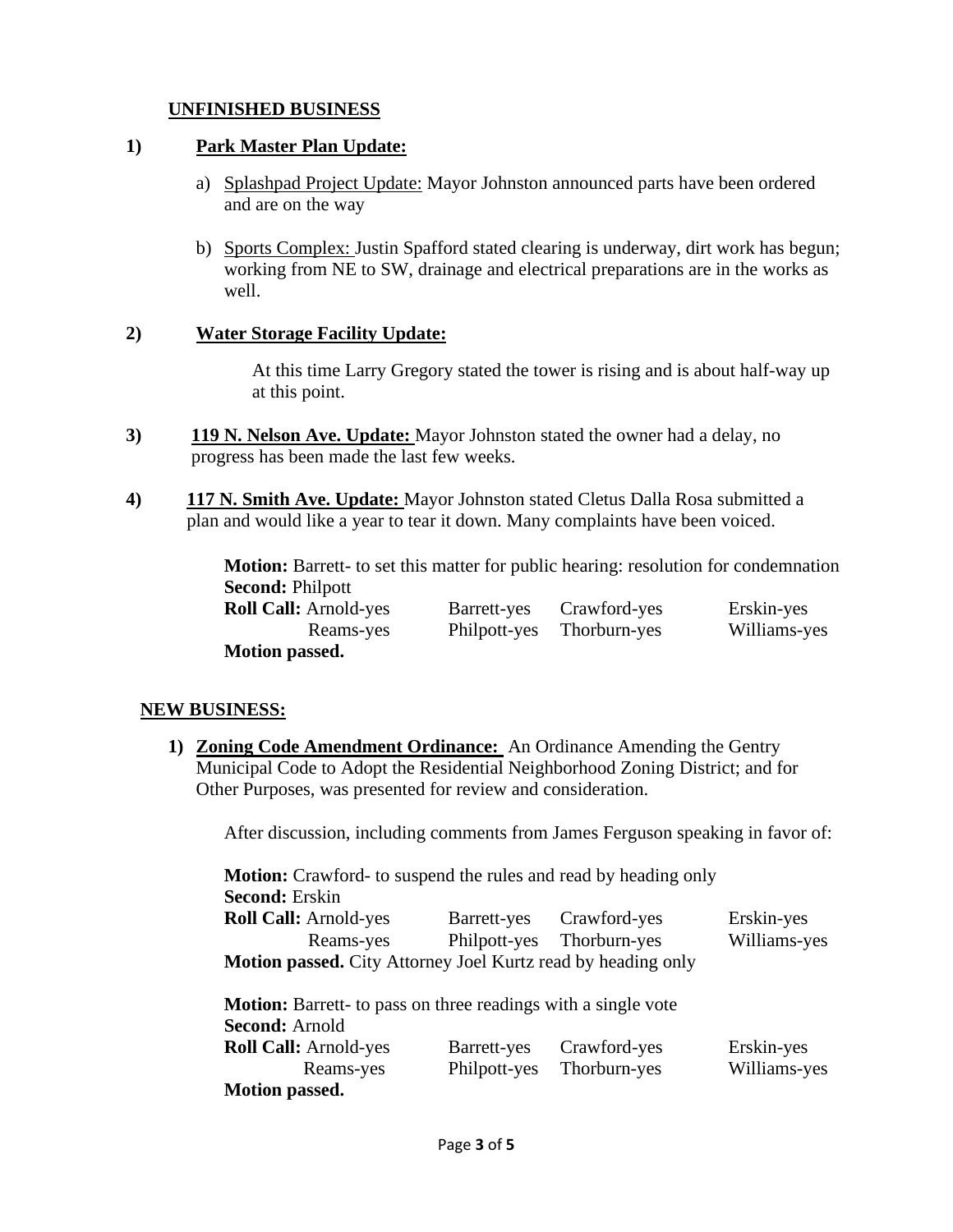# **UNFINISHED BUSINESS**

### **1) Park Master Plan Update:**

- a) Splashpad Project Update: Mayor Johnston announced parts have been ordered and are on the way
- b) Sports Complex: Justin Spafford stated clearing is underway, dirt work has begun; working from NE to SW, drainage and electrical preparations are in the works as well.

### **2) Water Storage Facility Update:**

At this time Larry Gregory stated the tower is rising and is about half-way up at this point.

- **3) 119 N. Nelson Ave. Update:** Mayor Johnston stated the owner had a delay, no progress has been made the last few weeks.
- **4) 117 N. Smith Ave. Update:** Mayor Johnston stated Cletus Dalla Rosa submitted a plan and would like a year to tear it down. Many complaints have been voiced.

**Motion:** Barrett- to set this matter for public hearing: resolution for condemnation **Second:** Philpott

| <b>Roll Call: Arnold-yes</b> | Barrett-yes Crawford-yes  | Erskin-yes   |
|------------------------------|---------------------------|--------------|
| Reams-yes                    | Philpott-yes Thorburn-yes | Williams-yes |
| <b>Motion passed.</b>        |                           |              |

# **NEW BUSINESS:**

**1) Zoning Code Amendment Ordinance:** An Ordinance Amending the Gentry Municipal Code to Adopt the Residential Neighborhood Zoning District; and for Other Purposes, was presented for review and consideration.

After discussion, including comments from James Ferguson speaking in favor of:

**Motion:** Crawford- to suspend the rules and read by heading only **Second:** Erskin

| <b>Roll Call:</b> Arnold-yes                                        | Barrett-yes | Crawford-yes              | Erskin-yes   |
|---------------------------------------------------------------------|-------------|---------------------------|--------------|
| Reams-yes                                                           |             | Philpott-yes Thorburn-yes | Williams-yes |
| <b>Motion passed.</b> City Attorney Joel Kurtz read by heading only |             |                           |              |

**Motion:** Barrett- to pass on three readings with a single vote **Second:** Arnold **Roll Call:** Arnold-yes Barrett-yes Crawford-yes Erskin-yes Reams-yes Philpott-yes Thorburn-yes Williams-yes **Motion passed.**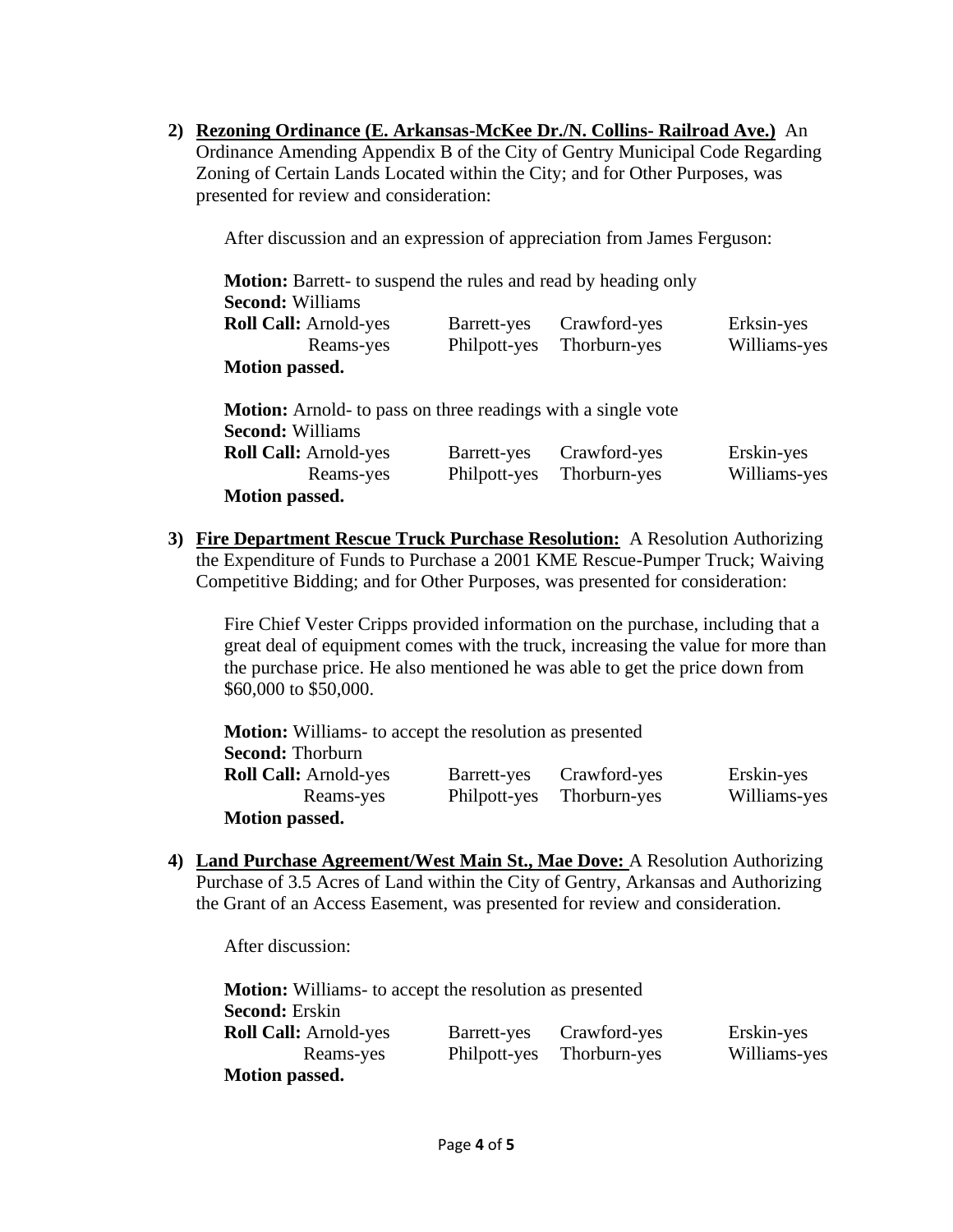**2) Rezoning Ordinance (E. Arkansas-McKee Dr./N. Collins- Railroad Ave.)** An Ordinance Amending Appendix B of the City of Gentry Municipal Code Regarding Zoning of Certain Lands Located within the City; and for Other Purposes, was presented for review and consideration:

After discussion and an expression of appreciation from James Ferguson:

| Motion: Barrett- to suspend the rules and read by heading only                                 |              |              |              |  |
|------------------------------------------------------------------------------------------------|--------------|--------------|--------------|--|
| <b>Second: Williams</b>                                                                        |              |              |              |  |
| <b>Roll Call: Arnold-yes</b>                                                                   | Barrett-yes  | Crawford-yes | Erksin-yes   |  |
| Reams-yes                                                                                      | Philpott-yes | Thorburn-yes | Williams-yes |  |
| <b>Motion passed.</b>                                                                          |              |              |              |  |
| <b>Motion:</b> Arnold- to pass on three readings with a single vote<br><b>Second: Williams</b> |              |              |              |  |
| <b>Roll Call:</b> Arnold-yes                                                                   | Barrett-yes  | Crawford-yes | Erskin-yes   |  |
| Reams-yes                                                                                      | Philpott-yes | Thorburn-yes | Williams-yes |  |
| <b>Motion passed.</b>                                                                          |              |              |              |  |

**3) Fire Department Rescue Truck Purchase Resolution:** A Resolution Authorizing the Expenditure of Funds to Purchase a 2001 KME Rescue-Pumper Truck; Waiving Competitive Bidding; and for Other Purposes, was presented for consideration:

Fire Chief Vester Cripps provided information on the purchase, including that a great deal of equipment comes with the truck, increasing the value for more than the purchase price. He also mentioned he was able to get the price down from \$60,000 to \$50,000.

| <b>Motion:</b> Williams- to accept the resolution as presented |              |              |              |
|----------------------------------------------------------------|--------------|--------------|--------------|
| <b>Second: Thorburn</b>                                        |              |              |              |
| <b>Roll Call: Arnold-yes</b>                                   | Barrett-yes  | Crawford-yes | Erskin-yes   |
| Reams-yes                                                      | Philpott-yes | Thorburn-yes | Williams-yes |
| <b>Motion passed.</b>                                          |              |              |              |

**4) Land Purchase Agreement/West Main St., Mae Dove:** A Resolution Authorizing Purchase of 3.5 Acres of Land within the City of Gentry, Arkansas and Authorizing the Grant of an Access Easement, was presented for review and consideration.

After discussion:

| <b>Motion:</b> Williams- to accept the resolution as presented |              |              |              |
|----------------------------------------------------------------|--------------|--------------|--------------|
| <b>Second: Erskin</b>                                          |              |              |              |
| <b>Roll Call: Arnold-yes</b>                                   | Barrett-yes  | Crawford-yes | Erskin-yes   |
| Reams-yes                                                      | Philpott-yes | Thorburn-yes | Williams-yes |
| <b>Motion passed.</b>                                          |              |              |              |